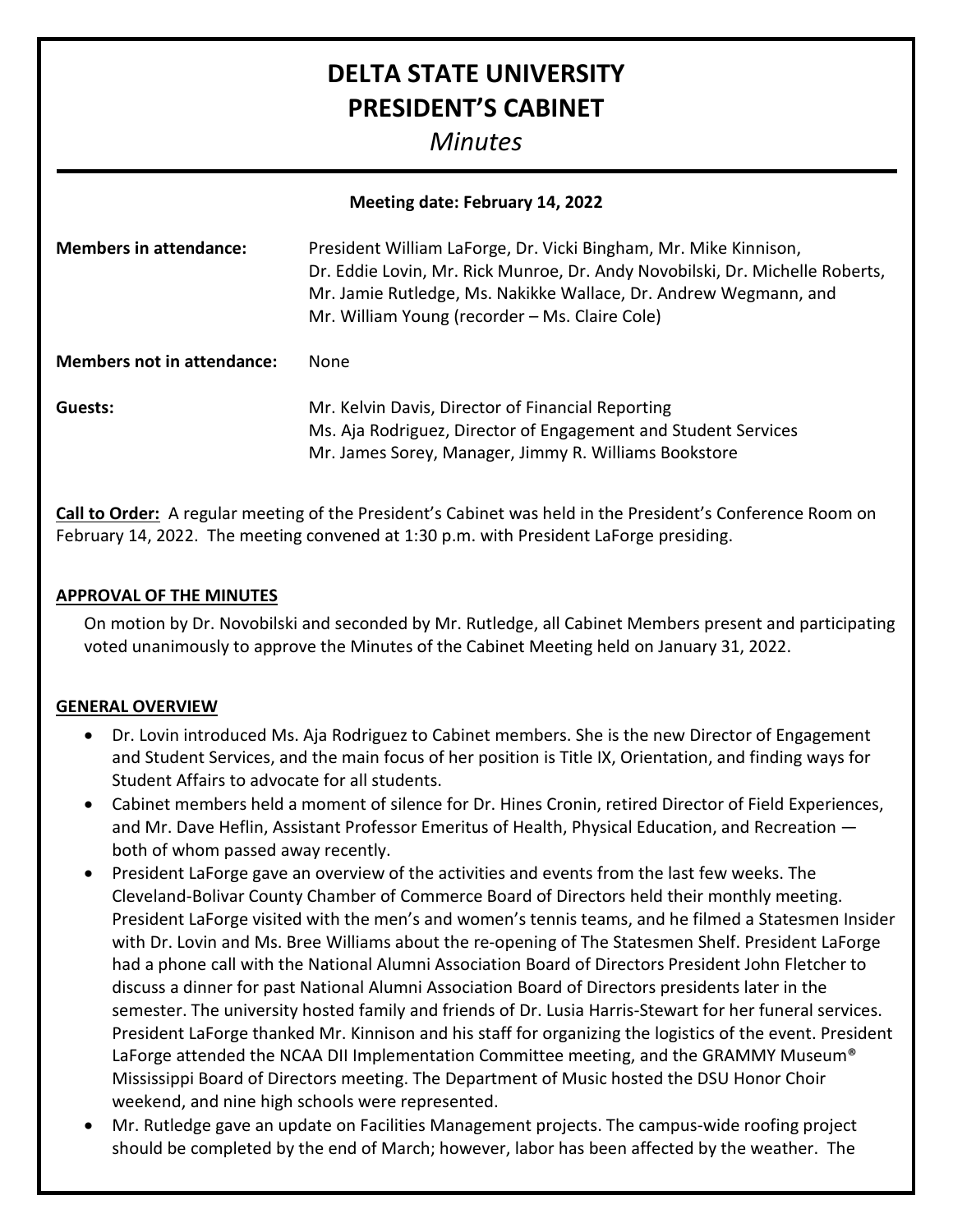# **DELTA STATE UNIVERSITY PRESIDENT'S CABINET**

# *Minutes*

| Meeting date: February 14, 2022   |                                                                                                                                                                                                                                                                        |
|-----------------------------------|------------------------------------------------------------------------------------------------------------------------------------------------------------------------------------------------------------------------------------------------------------------------|
| <b>Members in attendance:</b>     | President William LaForge, Dr. Vicki Bingham, Mr. Mike Kinnison,<br>Dr. Eddie Lovin, Mr. Rick Munroe, Dr. Andy Novobilski, Dr. Michelle Roberts,<br>Mr. Jamie Rutledge, Ms. Nakikke Wallace, Dr. Andrew Wegmann, and<br>Mr. William Young (recorder – Ms. Claire Cole) |
| <b>Members not in attendance:</b> | <b>None</b>                                                                                                                                                                                                                                                            |
| Guests:                           | Mr. Kelvin Davis, Director of Financial Reporting<br>Ms. Aja Rodriguez, Director of Engagement and Student Services<br>Mr. James Sorey, Manager, Jimmy R. Williams Bookstore                                                                                           |

**Call to Order:** A regular meeting of the President's Cabinet was held in the President's Conference Room on February 14, 2022. The meeting convened at 1:30 p.m. with President LaForge presiding.

#### **APPROVAL OF THE MINUTES**

On motion by Dr. Novobilski and seconded by Mr. Rutledge, all Cabinet Members present and participating voted unanimously to approve the Minutes of the Cabinet Meeting held on January 31, 2022.

#### **GENERAL OVERVIEW**

- Dr. Lovin introduced Ms. Aja Rodriguez to Cabinet members. She is the new Director of Engagement and Student Services, and the main focus of her position is Title IX, Orientation, and finding ways for Student Affairs to advocate for all students.
- Cabinet members held a moment of silence for Dr. Hines Cronin, retired Director of Field Experiences, and Mr. Dave Heflin, Assistant Professor Emeritus of Health, Physical Education, and Recreation both of whom passed away recently.
- President LaForge gave an overview of the activities and events from the last few weeks. The Cleveland-Bolivar County Chamber of Commerce Board of Directors held their monthly meeting. President LaForge visited with the men's and women's tennis teams, and he filmed a Statesmen Insider with Dr. Lovin and Ms. Bree Williams about the re-opening of The Statesmen Shelf. President LaForge had a phone call with the National Alumni Association Board of Directors President John Fletcher to discuss a dinner for past National Alumni Association Board of Directors presidents later in the semester. The university hosted family and friends of Dr. Lusia Harris-Stewart for her funeral services. President LaForge thanked Mr. Kinnison and his staff for organizing the logistics of the event. President LaForge attended the NCAA DII Implementation Committee meeting, and the GRAMMY Museum® Mississippi Board of Directors meeting. The Department of Music hosted the DSU Honor Choir weekend, and nine high schools were represented.
- Mr. Rutledge gave an update on Facilities Management projects. The campus-wide roofing project should be completed by the end of March; however, labor has been affected by the weather. The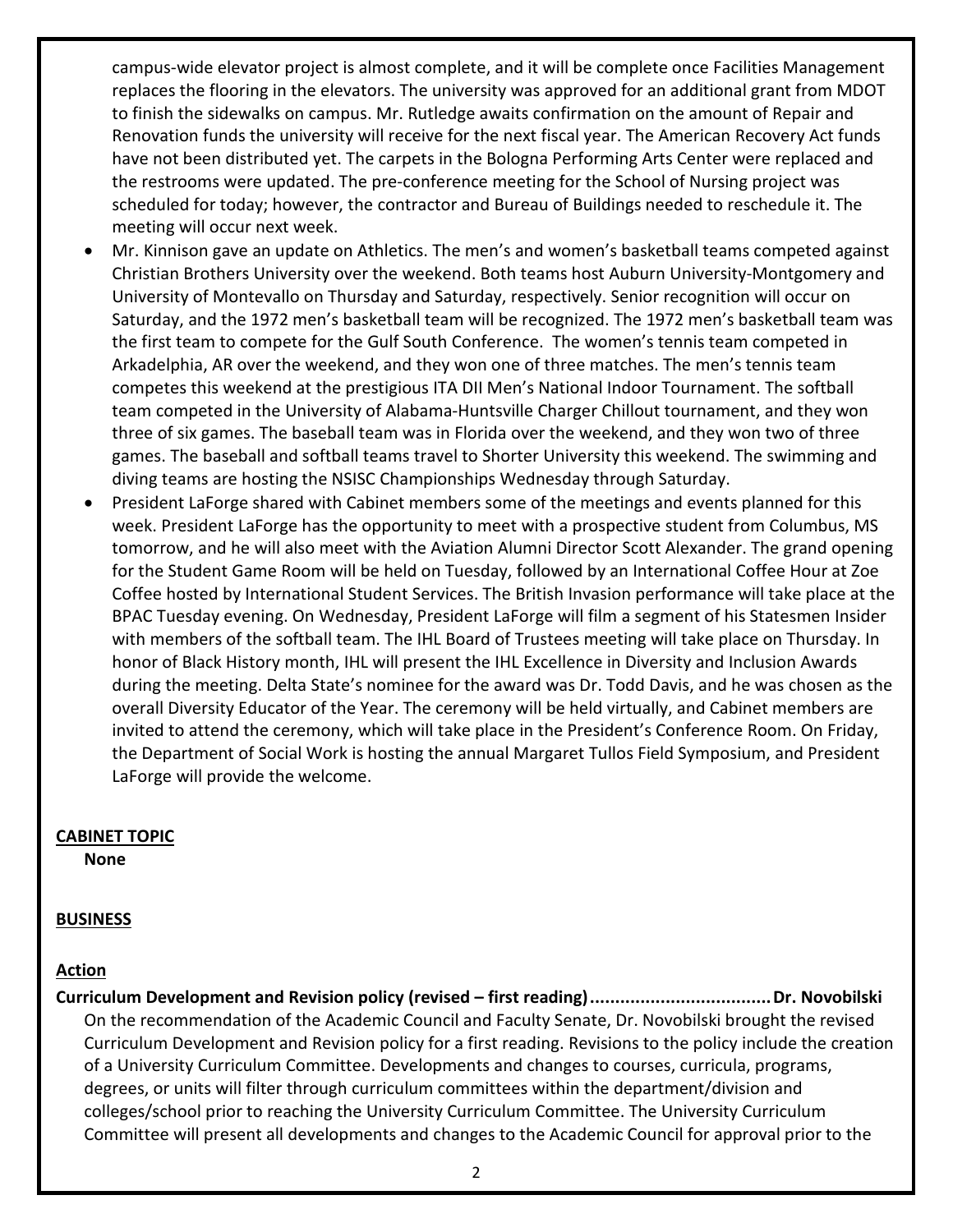campus-wide elevator project is almost complete, and it will be complete once Facilities Management replaces the flooring in the elevators. The university was approved for an additional grant from MDOT to finish the sidewalks on campus. Mr. Rutledge awaits confirmation on the amount of Repair and Renovation funds the university will receive for the next fiscal year. The American Recovery Act funds have not been distributed yet. The carpets in the Bologna Performing Arts Center were replaced and the restrooms were updated. The pre-conference meeting for the School of Nursing project was scheduled for today; however, the contractor and Bureau of Buildings needed to reschedule it. The meeting will occur next week.

- Mr. Kinnison gave an update on Athletics. The men's and women's basketball teams competed against Christian Brothers University over the weekend. Both teams host Auburn University-Montgomery and University of Montevallo on Thursday and Saturday, respectively. Senior recognition will occur on Saturday, and the 1972 men's basketball team will be recognized. The 1972 men's basketball team was the first team to compete for the Gulf South Conference. The women's tennis team competed in Arkadelphia, AR over the weekend, and they won one of three matches. The men's tennis team competes this weekend at the prestigious ITA DII Men's National Indoor Tournament. The softball team competed in the University of Alabama-Huntsville Charger Chillout tournament, and they won three of six games. The baseball team was in Florida over the weekend, and they won two of three games. The baseball and softball teams travel to Shorter University this weekend. The swimming and diving teams are hosting the NSISC Championships Wednesday through Saturday.
- President LaForge shared with Cabinet members some of the meetings and events planned for this week. President LaForge has the opportunity to meet with a prospective student from Columbus, MS tomorrow, and he will also meet with the Aviation Alumni Director Scott Alexander. The grand opening for the Student Game Room will be held on Tuesday, followed by an International Coffee Hour at Zoe Coffee hosted by International Student Services. The British Invasion performance will take place at the BPAC Tuesday evening. On Wednesday, President LaForge will film a segment of his Statesmen Insider with members of the softball team. The IHL Board of Trustees meeting will take place on Thursday. In honor of Black History month, IHL will present the IHL Excellence in Diversity and Inclusion Awards during the meeting. Delta State's nominee for the award was Dr. Todd Davis, and he was chosen as the overall Diversity Educator of the Year. The ceremony will be held virtually, and Cabinet members are invited to attend the ceremony, which will take place in the President's Conference Room. On Friday, the Department of Social Work is hosting the annual Margaret Tullos Field Symposium, and President LaForge will provide the welcome.

#### **CABINET TOPIC**

**None**

#### **BUSINESS**

#### **Action**

**Curriculum Development and Revision policy (revised – first reading)....................................Dr. Novobilski** On the recommendation of the Academic Council and Faculty Senate, Dr. Novobilski brought the revised Curriculum Development and Revision policy for a first reading. Revisions to the policy include the creation of a University Curriculum Committee. Developments and changes to courses, curricula, programs, degrees, or units will filter through curriculum committees within the department/division and colleges/school prior to reaching the University Curriculum Committee. The University Curriculum Committee will present all developments and changes to the Academic Council for approval prior to the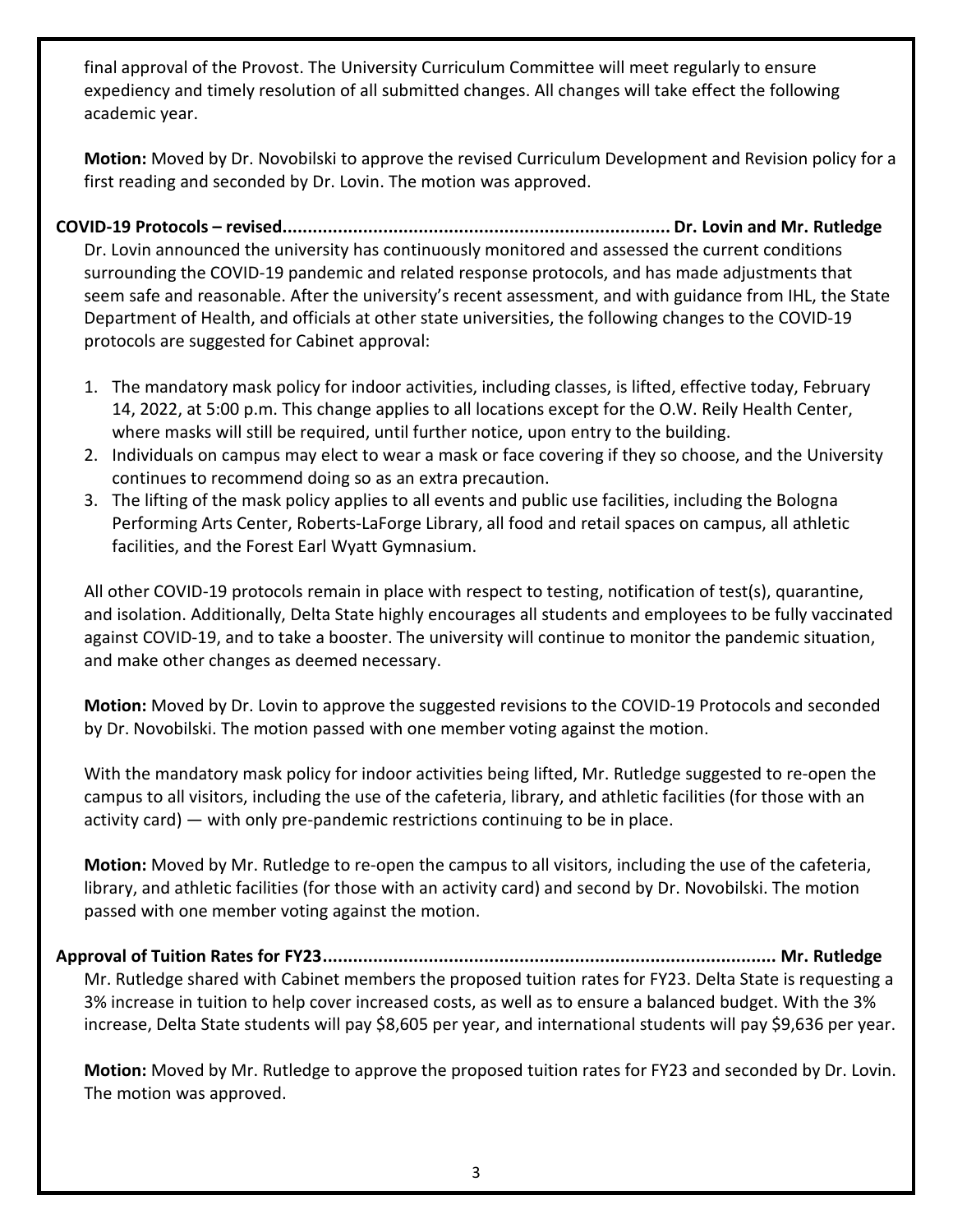final approval of the Provost. The University Curriculum Committee will meet regularly to ensure expediency and timely resolution of all submitted changes. All changes will take effect the following academic year.

**Motion:** Moved by Dr. Novobilski to approve the revised Curriculum Development and Revision policy for a first reading and seconded by Dr. Lovin. The motion was approved.

**COVID-19 Protocols – revised............................................................................. Dr. Lovin and Mr. Rutledge** Dr. Lovin announced the university has continuously monitored and assessed the current conditions surrounding the COVID-19 pandemic and related response protocols, and has made adjustments that seem safe and reasonable. After the university's recent assessment, and with guidance from IHL, the State Department of Health, and officials at other state universities, the following changes to the COVID-19 protocols are suggested for Cabinet approval:

- 1. The mandatory mask policy for indoor activities, including classes, is lifted, effective today, February 14, 2022, at 5:00 p.m. This change applies to all locations except for the O.W. Reily Health Center, where masks will still be required, until further notice, upon entry to the building.
- 2. Individuals on campus may elect to wear a mask or face covering if they so choose, and the University continues to recommend doing so as an extra precaution.
- 3. The lifting of the mask policy applies to all events and public use facilities, including the Bologna Performing Arts Center, Roberts-LaForge Library, all food and retail spaces on campus, all athletic facilities, and the Forest Earl Wyatt Gymnasium.

All other COVID-19 protocols remain in place with respect to testing, notification of test(s), quarantine, and isolation. Additionally, Delta State highly encourages all students and employees to be fully vaccinated against COVID-19, and to take a booster. The university will continue to monitor the pandemic situation, and make other changes as deemed necessary.

**Motion:** Moved by Dr. Lovin to approve the suggested revisions to the COVID-19 Protocols and seconded by Dr. Novobilski. The motion passed with one member voting against the motion.

With the mandatory mask policy for indoor activities being lifted, Mr. Rutledge suggested to re-open the campus to all visitors, including the use of the cafeteria, library, and athletic facilities (for those with an activity card) — with only pre-pandemic restrictions continuing to be in place.

**Motion:** Moved by Mr. Rutledge to re-open the campus to all visitors, including the use of the cafeteria, library, and athletic facilities (for those with an activity card) and second by Dr. Novobilski. The motion passed with one member voting against the motion.

**Approval of Tuition Rates for FY23.......................................................................................... Mr. Rutledge** Mr. Rutledge shared with Cabinet members the proposed tuition rates for FY23. Delta State is requesting a 3% increase in tuition to help cover increased costs, as well as to ensure a balanced budget. With the 3% increase, Delta State students will pay \$8,605 per year, and international students will pay \$9,636 per year.

**Motion:** Moved by Mr. Rutledge to approve the proposed tuition rates for FY23 and seconded by Dr. Lovin. The motion was approved.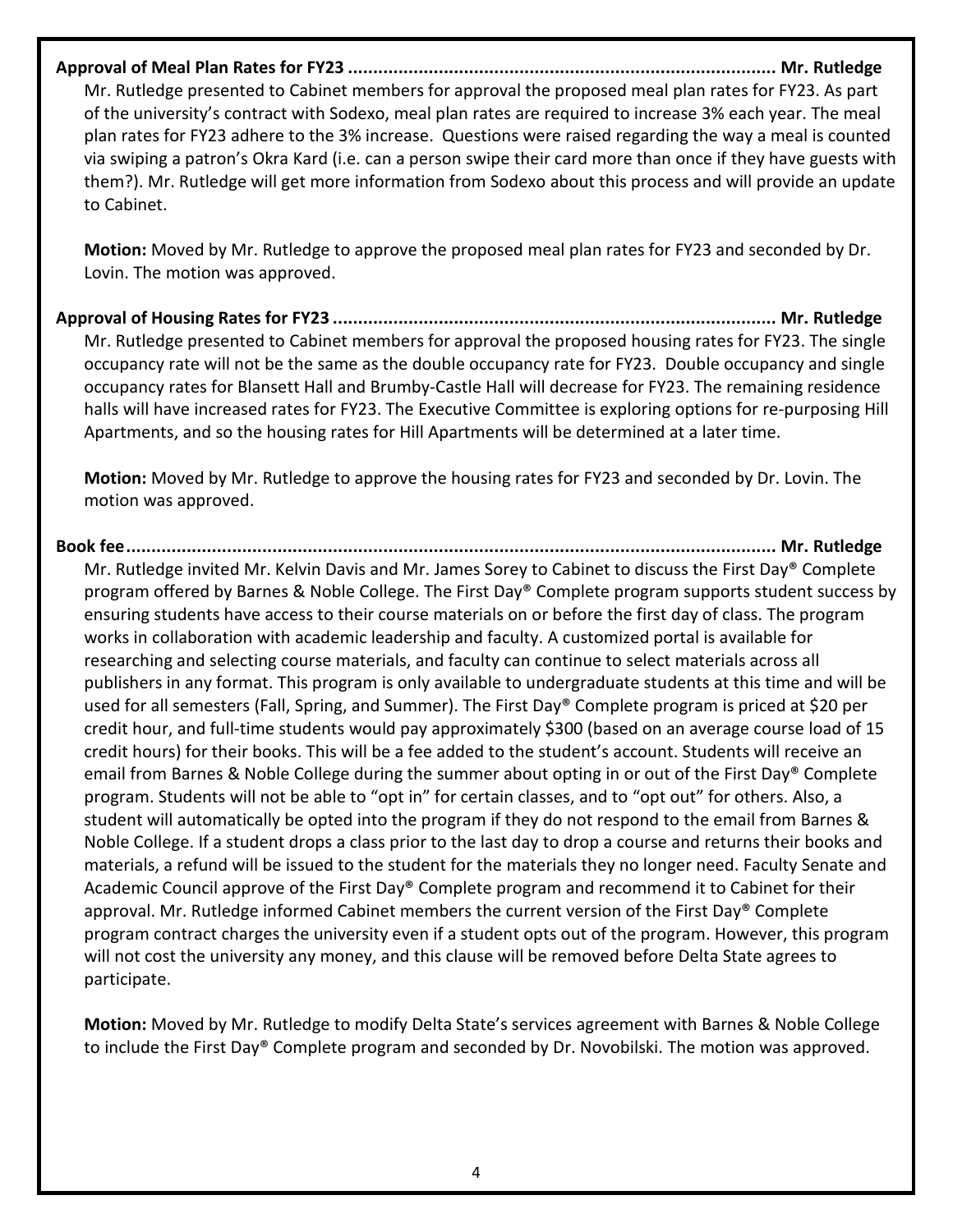**Approval of Meal Plan Rates for FY23 ..................................................................................... Mr. Rutledge** Mr. Rutledge presented to Cabinet members for approval the proposed meal plan rates for FY23. As part of the university's contract with Sodexo, meal plan rates are required to increase 3% each year. The meal

plan rates for FY23 adhere to the 3% increase. Questions were raised regarding the way a meal is counted via swiping a patron's Okra Kard (i.e. can a person swipe their card more than once if they have guests with them?). Mr. Rutledge will get more information from Sodexo about this process and will provide an update to Cabinet.

**Motion:** Moved by Mr. Rutledge to approve the proposed meal plan rates for FY23 and seconded by Dr. Lovin. The motion was approved.

**Approval of Housing Rates for FY23 ........................................................................................ Mr. Rutledge** Mr. Rutledge presented to Cabinet members for approval the proposed housing rates for FY23. The single occupancy rate will not be the same as the double occupancy rate for FY23. Double occupancy and single occupancy rates for Blansett Hall and Brumby-Castle Hall will decrease for FY23. The remaining residence halls will have increased rates for FY23. The Executive Committee is exploring options for re-purposing Hill Apartments, and so the housing rates for Hill Apartments will be determined at a later time.

**Motion:** Moved by Mr. Rutledge to approve the housing rates for FY23 and seconded by Dr. Lovin. The motion was approved.

**Book fee................................................................................................................................. Mr. Rutledge** Mr. Rutledge invited Mr. Kelvin Davis and Mr. James Sorey to Cabinet to discuss the First Day® Complete program offered by Barnes & Noble College. The First Day® Complete program supports student success by ensuring students have access to their course materials on or before the first day of class. The program works in collaboration with academic leadership and faculty. A customized portal is available for researching and selecting course materials, and faculty can continue to select materials across all publishers in any format. This program is only available to undergraduate students at this time and will be used for all semesters (Fall, Spring, and Summer). The First Day® Complete program is priced at \$20 per credit hour, and full-time students would pay approximately \$300 (based on an average course load of 15 credit hours) for their books. This will be a fee added to the student's account. Students will receive an email from Barnes & Noble College during the summer about opting in or out of the First Day® Complete program. Students will not be able to "opt in" for certain classes, and to "opt out" for others. Also, a student will automatically be opted into the program if they do not respond to the email from Barnes & Noble College. If a student drops a class prior to the last day to drop a course and returns their books and materials, a refund will be issued to the student for the materials they no longer need. Faculty Senate and Academic Council approve of the First Day® Complete program and recommend it to Cabinet for their approval. Mr. Rutledge informed Cabinet members the current version of the First Day® Complete program contract charges the university even if a student opts out of the program. However, this program will not cost the university any money, and this clause will be removed before Delta State agrees to participate.

**Motion:** Moved by Mr. Rutledge to modify Delta State's services agreement with Barnes & Noble College to include the First Day® Complete program and seconded by Dr. Novobilski. The motion was approved.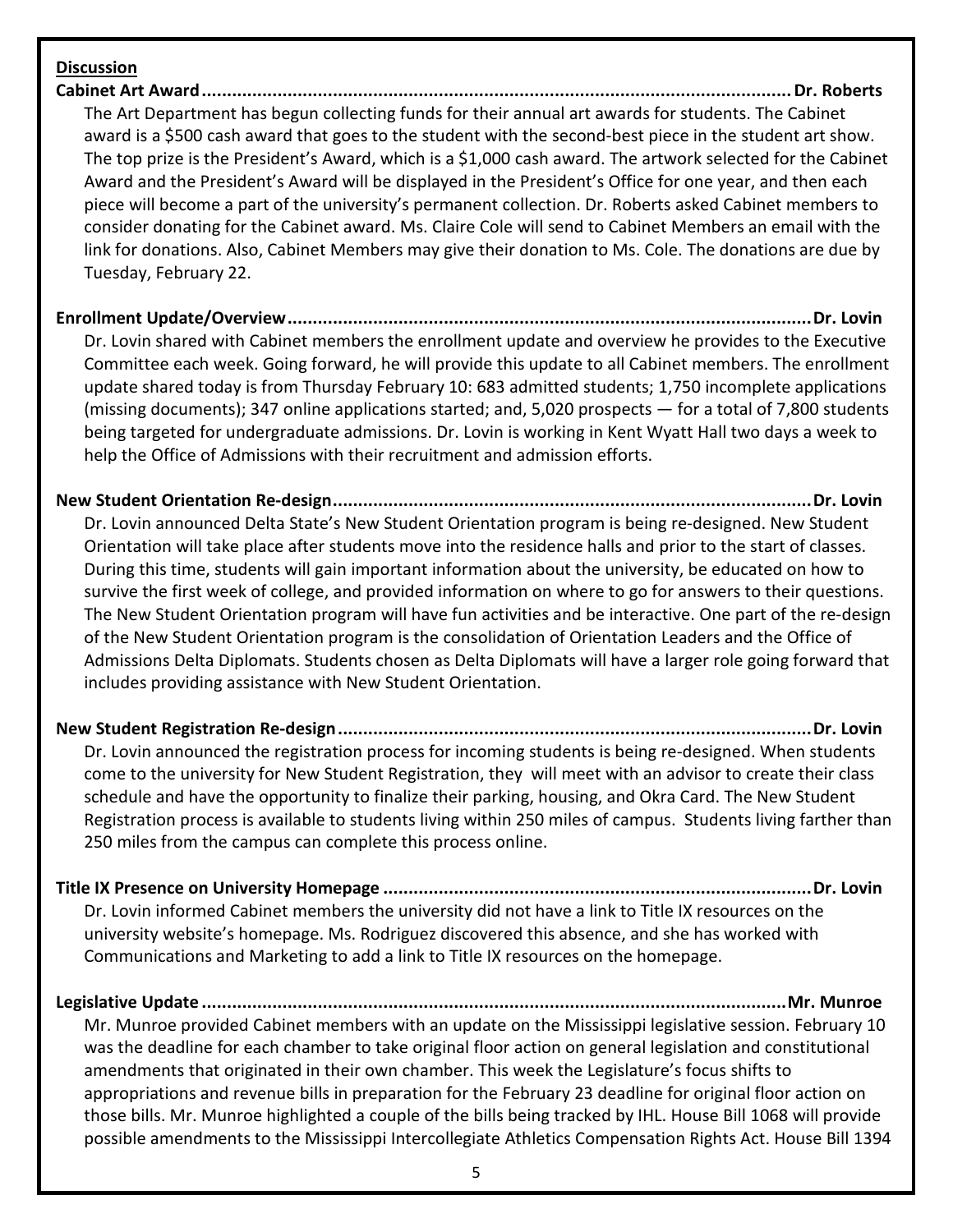#### **Discussion**

**Cabinet Art Award.....................................................................................................................Dr. Roberts** The Art Department has begun collecting funds for their annual art awards for students. The Cabinet award is a \$500 cash award that goes to the student with the second-best piece in the student art show. The top prize is the President's Award, which is a \$1,000 cash award. The artwork selected for the Cabinet Award and the President's Award will be displayed in the President's Office for one year, and then each piece will become a part of the university's permanent collection. Dr. Roberts asked Cabinet members to consider donating for the Cabinet award. Ms. Claire Cole will send to Cabinet Members an email with the link for donations. Also, Cabinet Members may give their donation to Ms. Cole. The donations are due by Tuesday, February 22.

**Enrollment Update/Overview........................................................................................................Dr. Lovin** Dr. Lovin shared with Cabinet members the enrollment update and overview he provides to the Executive

Committee each week. Going forward, he will provide this update to all Cabinet members. The enrollment update shared today is from Thursday February 10: 683 admitted students; 1,750 incomplete applications (missing documents); 347 online applications started; and, 5,020 prospects — for a total of 7,800 students being targeted for undergraduate admissions. Dr. Lovin is working in Kent Wyatt Hall two days a week to help the Office of Admissions with their recruitment and admission efforts.

**New Student Orientation Re-design...............................................................................................Dr. Lovin** Dr. Lovin announced Delta State's New Student Orientation program is being re-designed. New Student Orientation will take place after students move into the residence halls and prior to the start of classes. During this time, students will gain important information about the university, be educated on how to survive the first week of college, and provided information on where to go for answers to their questions. The New Student Orientation program will have fun activities and be interactive. One part of the re-design of the New Student Orientation program is the consolidation of Orientation Leaders and the Office of Admissions Delta Diplomats. Students chosen as Delta Diplomats will have a larger role going forward that includes providing assistance with New Student Orientation.

**New Student Registration Re-design..............................................................................................Dr. Lovin** Dr. Lovin announced the registration process for incoming students is being re-designed. When students come to the university for New Student Registration, they will meet with an advisor to create their class schedule and have the opportunity to finalize their parking, housing, and Okra Card. The New Student Registration process is available to students living within 250 miles of campus. Students living farther than 250 miles from the campus can complete this process online.

**Title IX Presence on University Homepage .....................................................................................Dr. Lovin** Dr. Lovin informed Cabinet members the university did not have a link to Title IX resources on the university website's homepage. Ms. Rodriguez discovered this absence, and she has worked with Communications and Marketing to add a link to Title IX resources on the homepage.

**Legislative Update ....................................................................................................................Mr. Munroe** Mr. Munroe provided Cabinet members with an update on the Mississippi legislative session. February 10 was the deadline for each chamber to take original floor action on general legislation and constitutional amendments that originated in their own chamber. This week the Legislature's focus shifts to appropriations and revenue bills in preparation for the February 23 deadline for original floor action on those bills. Mr. Munroe highlighted a couple of the bills being tracked by IHL. House Bill 1068 will provide possible amendments to the Mississippi Intercollegiate Athletics Compensation Rights Act. House Bill 1394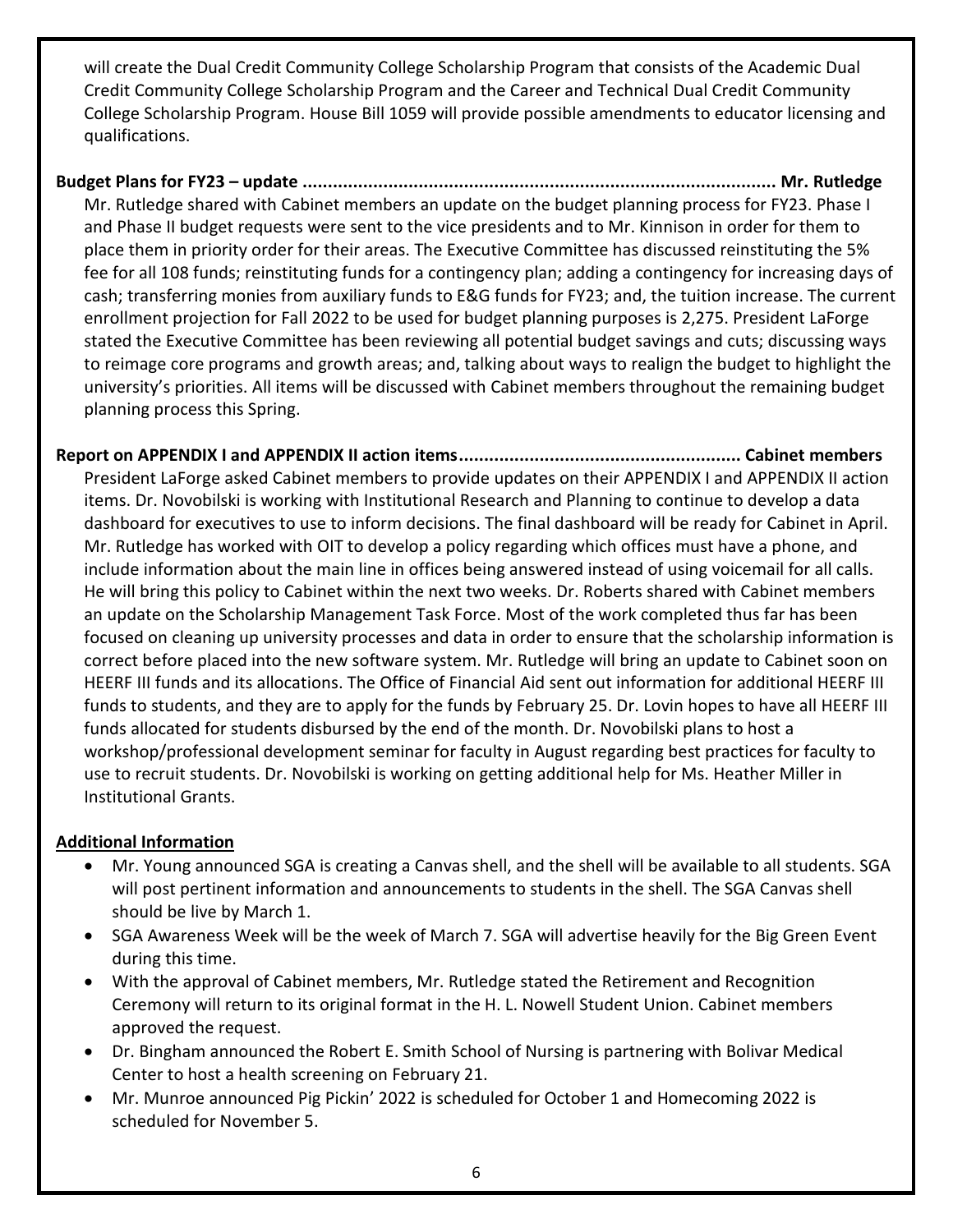will create the Dual Credit Community College Scholarship Program that consists of the Academic Dual Credit Community College Scholarship Program and the Career and Technical Dual Credit Community College Scholarship Program. House Bill 1059 will provide possible amendments to educator licensing and qualifications.

# **Budget Plans for FY23 – update .............................................................................................. Mr. Rutledge**

Mr. Rutledge shared with Cabinet members an update on the budget planning process for FY23. Phase I and Phase II budget requests were sent to the vice presidents and to Mr. Kinnison in order for them to place them in priority order for their areas. The Executive Committee has discussed reinstituting the 5% fee for all 108 funds; reinstituting funds for a contingency plan; adding a contingency for increasing days of cash; transferring monies from auxiliary funds to E&G funds for FY23; and, the tuition increase. The current enrollment projection for Fall 2022 to be used for budget planning purposes is 2,275. President LaForge stated the Executive Committee has been reviewing all potential budget savings and cuts; discussing ways to reimage core programs and growth areas; and, talking about ways to realign the budget to highlight the university's priorities. All items will be discussed with Cabinet members throughout the remaining budget planning process this Spring.

## **Report on APPENDIX I and APPENDIX II action items........................................................ Cabinet members**

President LaForge asked Cabinet members to provide updates on their APPENDIX I and APPENDIX II action items. Dr. Novobilski is working with Institutional Research and Planning to continue to develop a data dashboard for executives to use to inform decisions. The final dashboard will be ready for Cabinet in April. Mr. Rutledge has worked with OIT to develop a policy regarding which offices must have a phone, and include information about the main line in offices being answered instead of using voicemail for all calls. He will bring this policy to Cabinet within the next two weeks. Dr. Roberts shared with Cabinet members an update on the Scholarship Management Task Force. Most of the work completed thus far has been focused on cleaning up university processes and data in order to ensure that the scholarship information is correct before placed into the new software system. Mr. Rutledge will bring an update to Cabinet soon on HEERF III funds and its allocations. The Office of Financial Aid sent out information for additional HEERF III funds to students, and they are to apply for the funds by February 25. Dr. Lovin hopes to have all HEERF III funds allocated for students disbursed by the end of the month. Dr. Novobilski plans to host a workshop/professional development seminar for faculty in August regarding best practices for faculty to use to recruit students. Dr. Novobilski is working on getting additional help for Ms. Heather Miller in Institutional Grants.

### **Additional Information**

- Mr. Young announced SGA is creating a Canvas shell, and the shell will be available to all students. SGA will post pertinent information and announcements to students in the shell. The SGA Canvas shell should be live by March 1.
- SGA Awareness Week will be the week of March 7. SGA will advertise heavily for the Big Green Event during this time.
- With the approval of Cabinet members, Mr. Rutledge stated the Retirement and Recognition Ceremony will return to its original format in the H. L. Nowell Student Union. Cabinet members approved the request.
- Dr. Bingham announced the Robert E. Smith School of Nursing is partnering with Bolivar Medical Center to host a health screening on February 21.
- Mr. Munroe announced Pig Pickin' 2022 is scheduled for October 1 and Homecoming 2022 is scheduled for November 5.